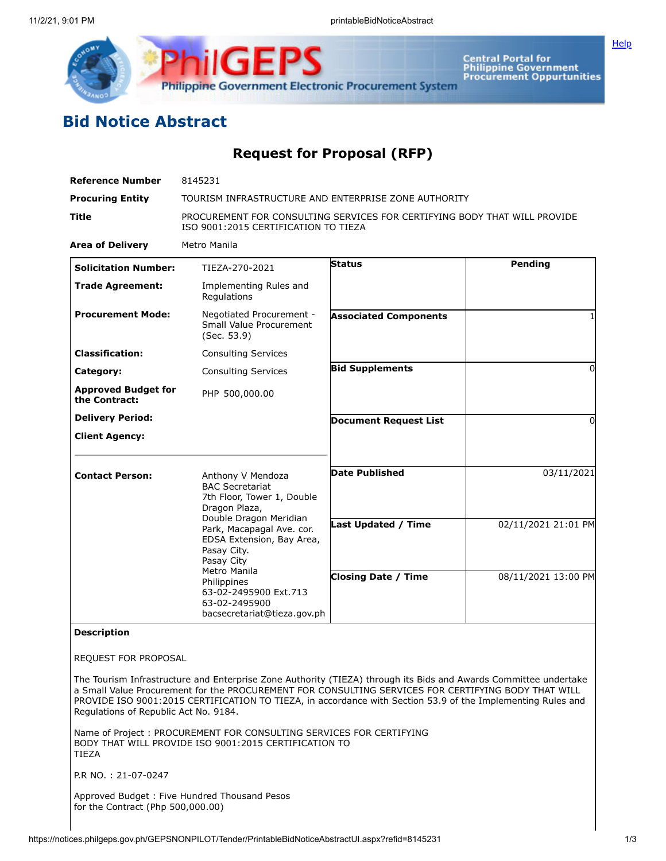

**ilGEPS Philippine Government Electronic Procurement System** 

**Central Portal for<br>Philippine Government<br>Procurement Oppurtunities** 

## **Bid Notice Abstract**

## **Request for Proposal (RFP)**

| <b>Reference Number</b>                     | 8145231<br>TOURISM INFRASTRUCTURE AND ENTERPRISE ZONE AUTHORITY<br>PROCUREMENT FOR CONSULTING SERVICES FOR CERTIFYING BODY THAT WILL PROVIDE<br>ISO 9001:2015 CERTIFICATION TO TIEZA                                                                                                                                                   |                              |                     |
|---------------------------------------------|----------------------------------------------------------------------------------------------------------------------------------------------------------------------------------------------------------------------------------------------------------------------------------------------------------------------------------------|------------------------------|---------------------|
| <b>Procuring Entity</b>                     |                                                                                                                                                                                                                                                                                                                                        |                              |                     |
| Title                                       |                                                                                                                                                                                                                                                                                                                                        |                              |                     |
| <b>Area of Delivery</b>                     | Metro Manila                                                                                                                                                                                                                                                                                                                           |                              |                     |
| <b>Solicitation Number:</b>                 | TIEZA-270-2021                                                                                                                                                                                                                                                                                                                         | Status                       | Pending             |
| <b>Trade Agreement:</b>                     | Implementing Rules and<br>Regulations                                                                                                                                                                                                                                                                                                  |                              |                     |
| <b>Procurement Mode:</b>                    | Negotiated Procurement -<br><b>Small Value Procurement</b><br>(Sec. 53.9)                                                                                                                                                                                                                                                              | <b>Associated Components</b> |                     |
| <b>Classification:</b>                      | <b>Consulting Services</b>                                                                                                                                                                                                                                                                                                             |                              |                     |
| Category:                                   | <b>Consulting Services</b>                                                                                                                                                                                                                                                                                                             | <b>Bid Supplements</b>       | 0                   |
| <b>Approved Budget for</b><br>the Contract: | PHP 500,000.00                                                                                                                                                                                                                                                                                                                         |                              |                     |
| <b>Delivery Period:</b>                     |                                                                                                                                                                                                                                                                                                                                        | <b>Document Request List</b> | 0                   |
| <b>Client Agency:</b>                       |                                                                                                                                                                                                                                                                                                                                        |                              |                     |
| <b>Contact Person:</b>                      | Anthony V Mendoza<br><b>BAC Secretariat</b><br>7th Floor, Tower 1, Double<br>Dragon Plaza,<br>Double Dragon Meridian<br>Park, Macapagal Ave. cor.<br>EDSA Extension, Bay Area,<br>Pasay City.<br>Pasay City<br>Metro Manila<br>Philippines<br>63-02-2495900 Ext.713<br>63-02-2495900<br>bacsecretariat@tieza.gov.ph                    | <b>Date Published</b>        | 03/11/2021          |
|                                             |                                                                                                                                                                                                                                                                                                                                        | Last Updated / Time          | 02/11/2021 21:01 PM |
|                                             |                                                                                                                                                                                                                                                                                                                                        | <b>Closing Date / Time</b>   | 08/11/2021 13:00 PM |
| <b>Description</b>                          |                                                                                                                                                                                                                                                                                                                                        |                              |                     |
| REQUEST FOR PROPOSAL                        |                                                                                                                                                                                                                                                                                                                                        |                              |                     |
| Regulations of Republic Act No. 9184.       | The Tourism Infrastructure and Enterprise Zone Authority (TIEZA) through its Bids and Awards Committee undertake<br>a Small Value Procurement for the PROCUREMENT FOR CONSULTING SERVICES FOR CERTIFYING BODY THAT WILL<br>PROVIDE ISO 9001:2015 CERTIFICATION TO TIEZA, in accordance with Section 53.9 of the Implementing Rules and |                              |                     |
| <b>TIEZA</b>                                | Name of Project: PROCUREMENT FOR CONSULTING SERVICES FOR CERTIFYING<br>BODY THAT WILL PROVIDE ISO 9001:2015 CERTIFICATION TO                                                                                                                                                                                                           |                              |                     |
| P.R NO.: 21-07-0247                         |                                                                                                                                                                                                                                                                                                                                        |                              |                     |

Approved Budget : Five Hundred Thousand Pesos for the Contract (Php 500,000.00)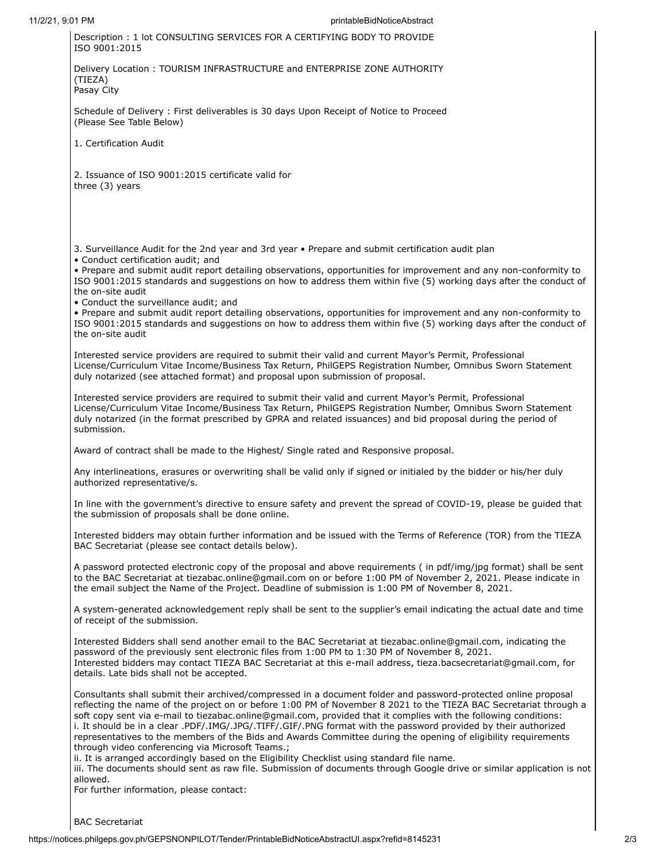11/2/21, 9:01 PM printableBidNoticeAbstract Description : 1 lot CONSULTING SERVICES FOR A CERTIFYING BODY TO PROVIDE ISO 9001:2015 Delivery Location : TOURISM INFRASTRUCTURE and ENTERPRISE ZONE AUTHORITY (TIEZA) Pasay City Schedule of Delivery : First deliverables is 30 days Upon Receipt of Notice to Proceed (Please See Table Below) 1. Certification Audit 2. Issuance of ISO 9001:2015 certificate valid for three (3) years 3. Surveillance Audit for the 2nd year and 3rd year • Prepare and submit certification audit plan • Conduct certification audit; and • Prepare and submit audit report detailing observations, opportunities for improvement and any non-conformity to ISO 9001:2015 standards and suggestions on how to address them within five (5) working days after the conduct of the on-site audit • Conduct the surveillance audit; and • Prepare and submit audit report detailing observations, opportunities for improvement and any non-conformity to ISO 9001:2015 standards and suggestions on how to address them within five (5) working days after the conduct of the on-site audit Interested service providers are required to submit their valid and current Mayor's Permit, Professional License/Curriculum Vitae Income/Business Tax Return, PhilGEPS Registration Number, Omnibus Sworn Statement duly notarized (see attached format) and proposal upon submission of proposal. Interested service providers are required to submit their valid and current Mayor's Permit, Professional License/Curriculum Vitae Income/Business Tax Return, PhilGEPS Registration Number, Omnibus Sworn Statement duly notarized (in the format prescribed by GPRA and related issuances) and bid proposal during the period of submission. Award of contract shall be made to the Highest/ Single rated and Responsive proposal. Any interlineations, erasures or overwriting shall be valid only if signed or initialed by the bidder or his/her duly authorized representative/s. In line with the government's directive to ensure safety and prevent the spread of COVID-19, please be guided that the submission of proposals shall be done online. Interested bidders may obtain further information and be issued with the Terms of Reference (TOR) from the TIEZA BAC Secretariat (please see contact details below). A password protected electronic copy of the proposal and above requirements ( in pdf/img/jpg format) shall be sent to the BAC Secretariat at tiezabac.online@gmail.com on or before 1:00 PM of November 2, 2021. Please indicate in the email subject the Name of the Project. Deadline of submission is 1:00 PM of November 8, 2021. A system-generated acknowledgement reply shall be sent to the supplier's email indicating the actual date and time of receipt of the submission. Interested Bidders shall send another email to the BAC Secretariat at tiezabac.online@gmail.com, indicating the password of the previously sent electronic files from 1:00 PM to 1:30 PM of November 8, 2021. Interested bidders may contact TIEZA BAC Secretariat at this e-mail address, tieza.bacsecretariat@gmail.com, for details. Late bids shall not be accepted. Consultants shall submit their archived/compressed in a document folder and password-protected online proposal reflecting the name of the project on or before 1:00 PM of November 8 2021 to the TIEZA BAC Secretariat through a soft copy sent via e-mail to tiezabac.online@gmail.com, provided that it complies with the following conditions: i. It should be in a clear .PDF/.IMG/.JPG/.TIFF/.GIF/.PNG format with the password provided by their authorized representatives to the members of the Bids and Awards Committee during the opening of eligibility requirements

through video conferencing via Microsoft Teams.;

ii. It is arranged accordingly based on the Eligibility Checklist using standard file name.

iii. The documents should sent as raw file. Submission of documents through Google drive or similar application is not allowed.

For further information, please contact: